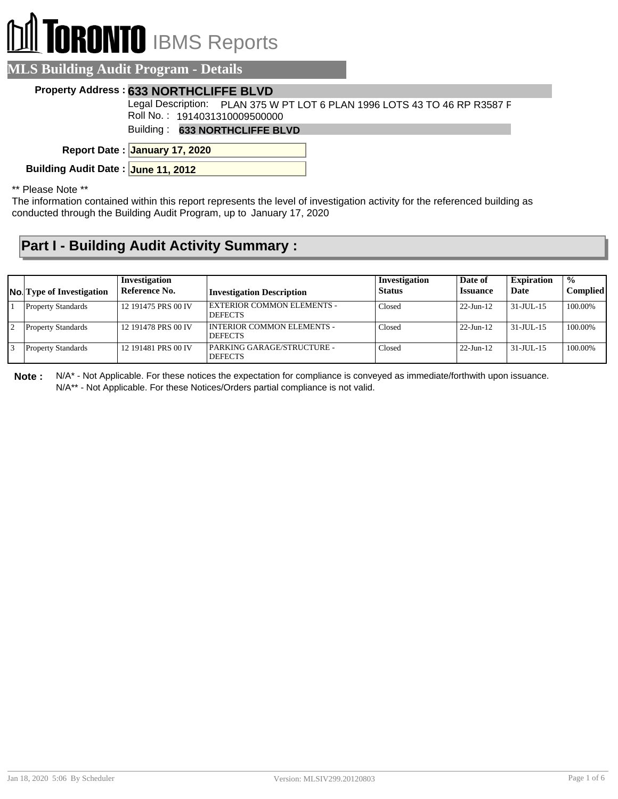## **I TORONTO** IBMS Reports  $\mathbb{D}$

| <b>MLS Building Audit Program - Details</b>                                                                |
|------------------------------------------------------------------------------------------------------------|
| Property Address: 633 NORTHCLIFFE BLVD                                                                     |
| Legal Description: PLAN 375 W PT LOT 6 PLAN 1996 LOTS 43 TO 46 RP R3587 F<br>Roll No.: 1914031310009500000 |
| Building: 633 NORTHCLIFFE BLVD                                                                             |
| Report Date: January 17, 2020                                                                              |
| Building Audit Date: June 11, 2012                                                                         |
| 44 PH A L . 1 . 44                                                                                         |

Please Note

The information contained within this report represents the level of investigation activity for the referenced building as conducted through the Building Audit Program, up to January 17, 2020

## **Part I - Building Audit Activity Summary :**

| <b>No.</b> Type of Investigation | Investigation<br>Reference No. | <b>Investigation Description</b>               | Investigation<br><b>Status</b> | Date of<br><b>Issuance</b> | <b>Expiration</b><br>Date | $\frac{0}{0}$<br><b>Complied</b> |
|----------------------------------|--------------------------------|------------------------------------------------|--------------------------------|----------------------------|---------------------------|----------------------------------|
| <b>Property Standards</b>        | 12 191475 PRS 00 IV            | EXTERIOR COMMON ELEMENTS -<br><b>DEFECTS</b>   | Closed                         | $22$ -Jun-12               | 31-JUL-15                 | 100.00%                          |
| <b>Property Standards</b>        | 12 191478 PRS 00 IV            | I INTERIOR COMMON ELEMENTS -<br><b>DEFECTS</b> | Closed                         | $22$ -Jun-12               | $\frac{31 - JU}{1 - 15}$  | 100.00%                          |
| <b>Property Standards</b>        | 12 191481 PRS 00 IV            | PARKING GARAGE/STRUCTURE -<br><b>DEFECTS</b>   | Closed                         | $22$ -Jun-12               | $31 - JUII - 15$          | 100.00%                          |

**Note :** N/A\* - Not Applicable. For these notices the expectation for compliance is conveyed as immediate/forthwith upon issuance. N/A\*\* - Not Applicable. For these Notices/Orders partial compliance is not valid.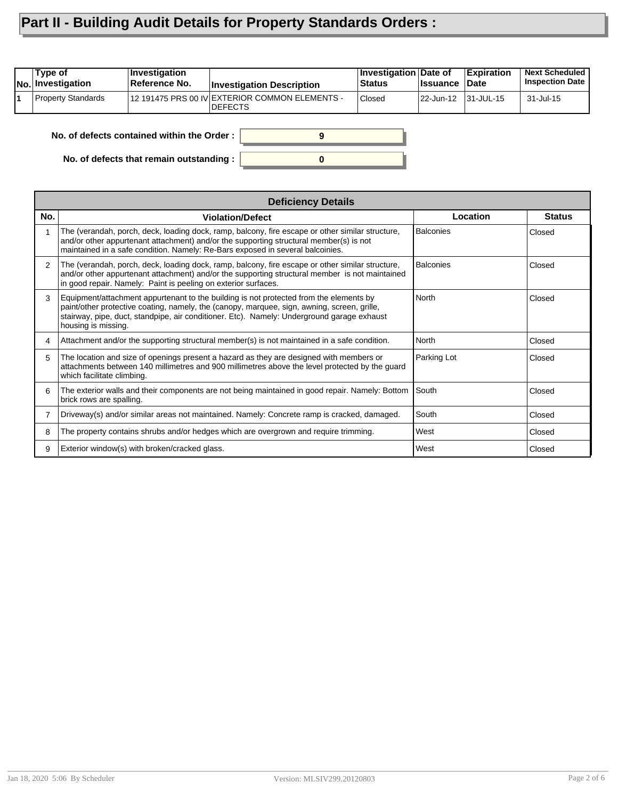## **Part II - Building Audit Details for Property Standards Orders :**

| Type of<br>No. Investigation | <b>Investigation</b><br>Reference No.      | <b>Investigation Description</b>                                  | Investigation Date of<br>Status | <b>Issuance</b> | <b>Expiration</b><br><b>∣Date</b> | <b>Next Scheduled</b><br><b>Inspection Date</b> |
|------------------------------|--------------------------------------------|-------------------------------------------------------------------|---------------------------------|-----------------|-----------------------------------|-------------------------------------------------|
| <b>Property Standards</b>    |                                            | 12 191475 PRS 00 IV EXTERIOR COMMON ELEMENTS -<br><b>IDEFECTS</b> | Closed                          | 22-Jun-12       | 31-JUL-15                         | 31-Jul-15                                       |
|                              | No. of defects contained within the Order: | a                                                                 |                                 |                 |                                   |                                                 |

**0**

**No. of defects that remain outstanding :**

|               | <b>Deficiency Details</b>                                                                                                                                                                                                                                                                                  |                  |               |  |  |  |  |
|---------------|------------------------------------------------------------------------------------------------------------------------------------------------------------------------------------------------------------------------------------------------------------------------------------------------------------|------------------|---------------|--|--|--|--|
| No.           | <b>Violation/Defect</b>                                                                                                                                                                                                                                                                                    | Location         | <b>Status</b> |  |  |  |  |
| 1             | The (verandah, porch, deck, loading dock, ramp, balcony, fire escape or other similar structure,<br>and/or other appurtenant attachment) and/or the supporting structural member(s) is not<br>maintained in a safe condition. Namely: Re-Bars exposed in several balcoinies.                               | <b>Balconies</b> | Closed        |  |  |  |  |
| $\mathcal{P}$ | The (verandah, porch, deck, loading dock, ramp, balcony, fire escape or other similar structure,<br>and/or other appurtenant attachment) and/or the supporting structural member is not maintained<br>in good repair. Namely: Paint is peeling on exterior surfaces.                                       | <b>Balconies</b> | Closed        |  |  |  |  |
| 3             | Equipment/attachment appurtenant to the building is not protected from the elements by<br>paint/other protective coating, namely, the (canopy, marquee, sign, awning, screen, grille,<br>stairway, pipe, duct, standpipe, air conditioner. Etc). Namely: Underground garage exhaust<br>housing is missing. | North            | Closed        |  |  |  |  |
| 4             | Attachment and/or the supporting structural member(s) is not maintained in a safe condition.                                                                                                                                                                                                               | North            | Closed        |  |  |  |  |
| 5             | The location and size of openings present a hazard as they are designed with members or<br>attachments between 140 millimetres and 900 millimetres above the level protected by the quard<br>which facilitate climbing.                                                                                    | Parking Lot      | Closed        |  |  |  |  |
| 6             | The exterior walls and their components are not being maintained in good repair. Namely: Bottom<br>brick rows are spalling.                                                                                                                                                                                | South            | Closed        |  |  |  |  |
| 7             | Driveway(s) and/or similar areas not maintained. Namely: Concrete ramp is cracked, damaged.                                                                                                                                                                                                                | South            | Closed        |  |  |  |  |
| 8             | The property contains shrubs and/or hedges which are overgrown and require trimming.                                                                                                                                                                                                                       | West             | Closed        |  |  |  |  |
| 9             | Exterior window(s) with broken/cracked glass.                                                                                                                                                                                                                                                              | West             | Closed        |  |  |  |  |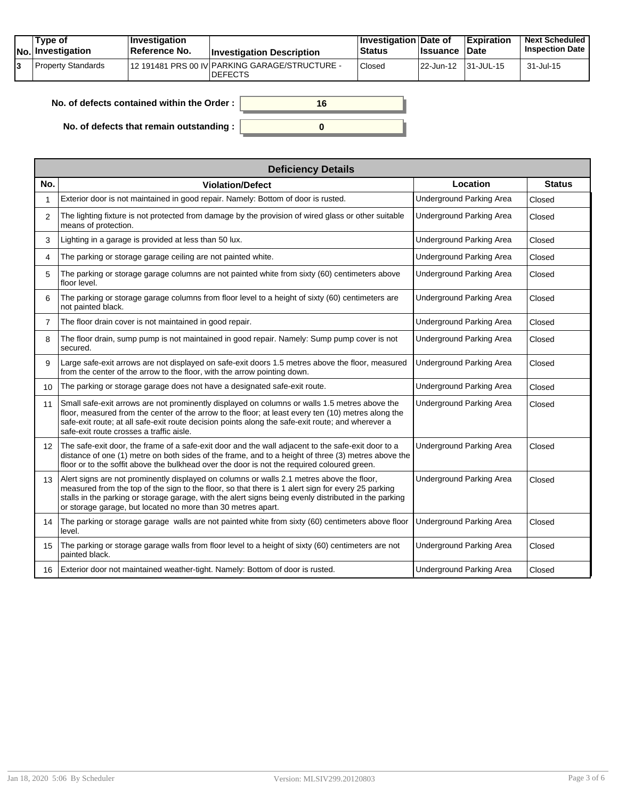|  | Tvpe of<br>$ No $ Investigation | <b>Investigation</b><br>Reference No. | <b>Investigation Description</b>                                 | <b>Investigation Date of</b><br><b>Status</b> | <b>Issuance Date</b> | <b>Expiration</b> | <b>Next Scheduled</b><br><b>Inspection Date</b> |
|--|---------------------------------|---------------------------------------|------------------------------------------------------------------|-----------------------------------------------|----------------------|-------------------|-------------------------------------------------|
|  | l Property Standards            |                                       | 12 191481 PRS 00 IV PARKING GARAGE/STRUCTURE -<br><b>DEFECTS</b> | Closed                                        | 22-Jun-12            | $ 31 - JUL - 15 $ | 31-Jul-15                                       |

| . of defects contained within the Order: |  |
|------------------------------------------|--|
| No. of defects that remain outstanding:  |  |

|                | <b>Deficiency Details</b>                                                                                                                                                                                                                                                                                                                                                |                                 |               |  |  |  |  |  |
|----------------|--------------------------------------------------------------------------------------------------------------------------------------------------------------------------------------------------------------------------------------------------------------------------------------------------------------------------------------------------------------------------|---------------------------------|---------------|--|--|--|--|--|
| No.            | <b>Violation/Defect</b>                                                                                                                                                                                                                                                                                                                                                  | Location                        | <b>Status</b> |  |  |  |  |  |
|                | Exterior door is not maintained in good repair. Namely: Bottom of door is rusted.                                                                                                                                                                                                                                                                                        | <b>Underground Parking Area</b> | Closed        |  |  |  |  |  |
| $\overline{2}$ | The lighting fixture is not protected from damage by the provision of wired glass or other suitable<br>means of protection.                                                                                                                                                                                                                                              | <b>Underground Parking Area</b> | Closed        |  |  |  |  |  |
| 3              | Lighting in a garage is provided at less than 50 lux.                                                                                                                                                                                                                                                                                                                    | <b>Underground Parking Area</b> | Closed        |  |  |  |  |  |
| 4              | The parking or storage garage ceiling are not painted white.                                                                                                                                                                                                                                                                                                             | <b>Underground Parking Area</b> | Closed        |  |  |  |  |  |
| 5              | The parking or storage garage columns are not painted white from sixty (60) centimeters above<br>floor level.                                                                                                                                                                                                                                                            | <b>Underground Parking Area</b> | Closed        |  |  |  |  |  |
| 6              | The parking or storage garage columns from floor level to a height of sixty (60) centimeters are<br>not painted black.                                                                                                                                                                                                                                                   | <b>Underground Parking Area</b> | Closed        |  |  |  |  |  |
| 7              | The floor drain cover is not maintained in good repair.                                                                                                                                                                                                                                                                                                                  | Underground Parking Area        | Closed        |  |  |  |  |  |
| 8              | The floor drain, sump pump is not maintained in good repair. Namely: Sump pump cover is not<br>secured.                                                                                                                                                                                                                                                                  | <b>Underground Parking Area</b> | Closed        |  |  |  |  |  |
| 9              | Large safe-exit arrows are not displayed on safe-exit doors 1.5 metres above the floor, measured<br>from the center of the arrow to the floor, with the arrow pointing down.                                                                                                                                                                                             | <b>Underground Parking Area</b> | Closed        |  |  |  |  |  |
| 10             | The parking or storage garage does not have a designated safe-exit route.                                                                                                                                                                                                                                                                                                | Underground Parking Area        | Closed        |  |  |  |  |  |
| 11             | Small safe-exit arrows are not prominently displayed on columns or walls 1.5 metres above the<br>floor, measured from the center of the arrow to the floor; at least every ten (10) metres along the<br>safe-exit route; at all safe-exit route decision points along the safe-exit route; and wherever a<br>safe-exit route crosses a traffic aisle.                    | Underground Parking Area        | Closed        |  |  |  |  |  |
| 12             | The safe-exit door, the frame of a safe-exit door and the wall adjacent to the safe-exit door to a<br>distance of one (1) metre on both sides of the frame, and to a height of three (3) metres above the<br>floor or to the soffit above the bulkhead over the door is not the required coloured green.                                                                 | <b>Underground Parking Area</b> | Closed        |  |  |  |  |  |
| 13             | Alert signs are not prominently displayed on columns or walls 2.1 metres above the floor,<br>measured from the top of the sign to the floor, so that there is 1 alert sign for every 25 parking<br>stalls in the parking or storage garage, with the alert signs being evenly distributed in the parking<br>or storage garage, but located no more than 30 metres apart. | <b>Underground Parking Area</b> | Closed        |  |  |  |  |  |
| 14             | The parking or storage garage walls are not painted white from sixty (60) centimeters above floor<br>level.                                                                                                                                                                                                                                                              | Underground Parking Area        | Closed        |  |  |  |  |  |
| 15             | The parking or storage garage walls from floor level to a height of sixty (60) centimeters are not<br>painted black.                                                                                                                                                                                                                                                     | <b>Underground Parking Area</b> | Closed        |  |  |  |  |  |
| 16             | Exterior door not maintained weather-tight. Namely: Bottom of door is rusted.                                                                                                                                                                                                                                                                                            | Underground Parking Area        | Closed        |  |  |  |  |  |

**No. of**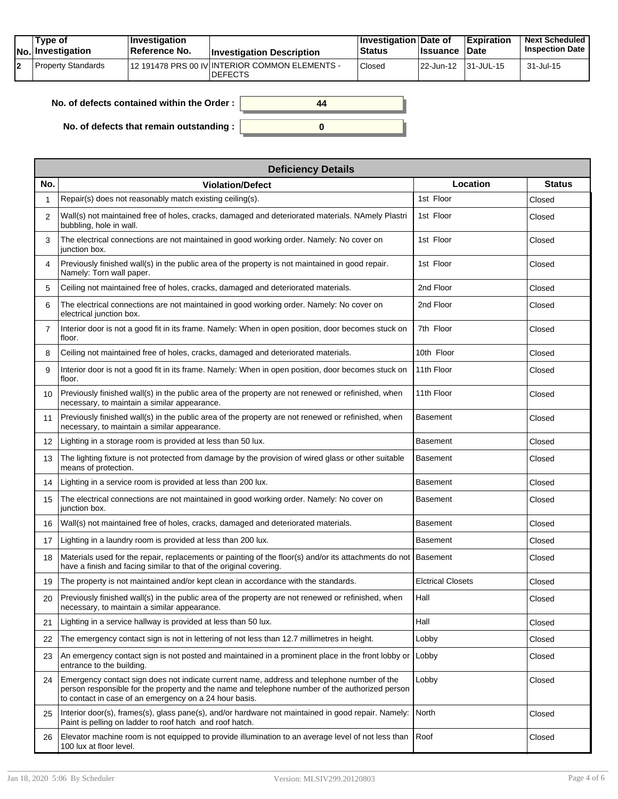|  | Tvpe of<br>$ No $ Investigation | <b>Investigation</b><br>⊺Reference No. | <b>Investigation Description</b>                                  | <b>∣Investigation Date of</b><br><b>Status</b> | <b>Issuance Date</b> | <b>Expiration</b> | <b>Next Scheduled</b><br><b>Inspection Date</b> |
|--|---------------------------------|----------------------------------------|-------------------------------------------------------------------|------------------------------------------------|----------------------|-------------------|-------------------------------------------------|
|  | l Property Standards            |                                        | 112 191478 PRS 00 IV INTERIOR COMMON ELEMENTS -<br><b>DEFECTS</b> | Closed                                         | 22-Jun-12            | $ 31 - JUL - 15 $ | 31-Jul-15                                       |

**0**

**44**

| No. of defects contained within the Order : $\ $ |  |
|--------------------------------------------------|--|
|                                                  |  |

**No. of defects that remain outstanding :**

|                | <b>Deficiency Details</b>                                                                                                                                                                                                                              |                          |               |  |  |  |  |  |  |
|----------------|--------------------------------------------------------------------------------------------------------------------------------------------------------------------------------------------------------------------------------------------------------|--------------------------|---------------|--|--|--|--|--|--|
| No.            | <b>Violation/Defect</b>                                                                                                                                                                                                                                | Location                 | <b>Status</b> |  |  |  |  |  |  |
| 1              | Repair(s) does not reasonably match existing ceiling(s).                                                                                                                                                                                               | 1st Floor                | Closed        |  |  |  |  |  |  |
| $\overline{2}$ | Wall(s) not maintained free of holes, cracks, damaged and deteriorated materials. NAmely Plastri<br>bubbling, hole in wall.                                                                                                                            | 1st Floor                | Closed        |  |  |  |  |  |  |
| 3              | The electrical connections are not maintained in good working order. Namely: No cover on<br>junction box.                                                                                                                                              | 1st Floor                | Closed        |  |  |  |  |  |  |
| 4              | Previously finished wall(s) in the public area of the property is not maintained in good repair.<br>Namely: Torn wall paper.                                                                                                                           | 1st Floor                | Closed        |  |  |  |  |  |  |
| 5              | Ceiling not maintained free of holes, cracks, damaged and deteriorated materials.                                                                                                                                                                      | 2nd Floor                | Closed        |  |  |  |  |  |  |
| 6              | The electrical connections are not maintained in good working order. Namely: No cover on<br>electrical junction box.                                                                                                                                   | 2nd Floor                | Closed        |  |  |  |  |  |  |
| 7              | Interior door is not a good fit in its frame. Namely: When in open position, door becomes stuck on<br>floor.                                                                                                                                           | 7th Floor                | Closed        |  |  |  |  |  |  |
| 8              | Ceiling not maintained free of holes, cracks, damaged and deteriorated materials.                                                                                                                                                                      | 10th Floor               | Closed        |  |  |  |  |  |  |
| 9              | Interior door is not a good fit in its frame. Namely: When in open position, door becomes stuck on<br>floor.                                                                                                                                           | 11th Floor               | Closed        |  |  |  |  |  |  |
| 10             | Previously finished wall(s) in the public area of the property are not renewed or refinished, when<br>necessary, to maintain a similar appearance.                                                                                                     | 11th Floor               | Closed        |  |  |  |  |  |  |
| 11             | Previously finished wall(s) in the public area of the property are not renewed or refinished, when<br>necessary, to maintain a similar appearance.                                                                                                     | <b>Basement</b>          | Closed        |  |  |  |  |  |  |
| 12             | Lighting in a storage room is provided at less than 50 lux.                                                                                                                                                                                            | <b>Basement</b>          | Closed        |  |  |  |  |  |  |
| 13             | The lighting fixture is not protected from damage by the provision of wired glass or other suitable<br>means of protection.                                                                                                                            | <b>Basement</b>          | Closed        |  |  |  |  |  |  |
| 14             | Lighting in a service room is provided at less than 200 lux.                                                                                                                                                                                           | <b>Basement</b>          | Closed        |  |  |  |  |  |  |
| 15             | The electrical connections are not maintained in good working order. Namely: No cover on<br>junction box.                                                                                                                                              | Basement                 | Closed        |  |  |  |  |  |  |
| 16             | Wall(s) not maintained free of holes, cracks, damaged and deteriorated materials.                                                                                                                                                                      | Basement                 | Closed        |  |  |  |  |  |  |
| 17             | Lighting in a laundry room is provided at less than 200 lux.                                                                                                                                                                                           | <b>Basement</b>          | Closed        |  |  |  |  |  |  |
| 18             | Materials used for the repair, replacements or painting of the floor(s) and/or its attachments do not<br>have a finish and facing similar to that of the original covering.                                                                            | Basement                 | Closed        |  |  |  |  |  |  |
| 19             | The property is not maintained and/or kept clean in accordance with the standards.                                                                                                                                                                     | <b>Elctrical Closets</b> | Closed        |  |  |  |  |  |  |
| 20             | Previously finished wall(s) in the public area of the property are not renewed or refinished, when<br>necessary, to maintain a similar appearance.                                                                                                     | Hall                     | Closed        |  |  |  |  |  |  |
| 21             | Lighting in a service hallway is provided at less than 50 lux.                                                                                                                                                                                         | Hall                     | Closed        |  |  |  |  |  |  |
| 22             | The emergency contact sign is not in lettering of not less than 12.7 millimetres in height.                                                                                                                                                            | Lobby                    | Closed        |  |  |  |  |  |  |
| 23             | An emergency contact sign is not posted and maintained in a prominent place in the front lobby or<br>entrance to the building.                                                                                                                         | Lobby                    | Closed        |  |  |  |  |  |  |
| 24             | Emergency contact sign does not indicate current name, address and telephone number of the<br>person responsible for the property and the name and telephone number of the authorized person<br>to contact in case of an emergency on a 24 hour basis. | Lobby                    | Closed        |  |  |  |  |  |  |
| 25             | Interior door(s), frames(s), glass pane(s), and/or hardware not maintained in good repair. Namely:<br>Paint is pelling on ladder to roof hatch and roof hatch.                                                                                         | North                    | Closed        |  |  |  |  |  |  |
| 26             | Elevator machine room is not equipped to provide illumination to an average level of not less than<br>100 lux at floor level.                                                                                                                          | Roof                     | Closed        |  |  |  |  |  |  |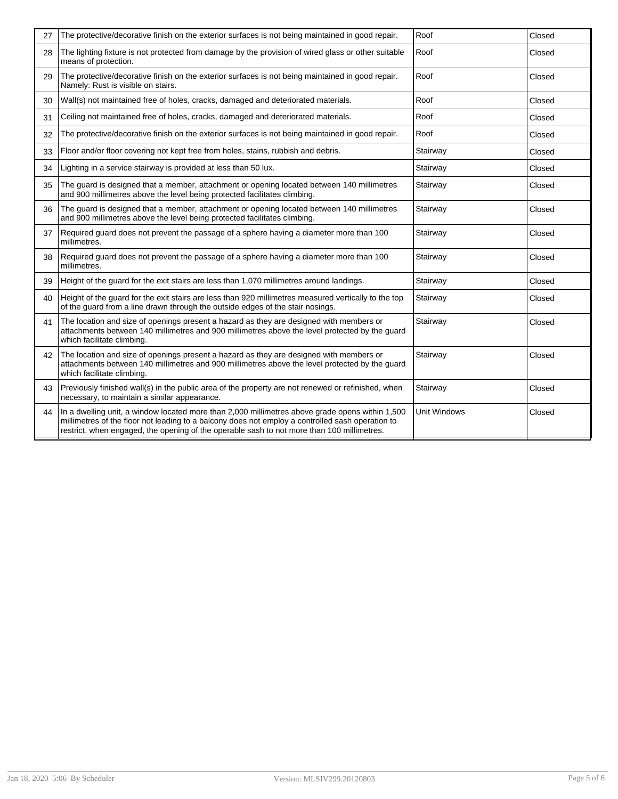| 27 | The protective/decorative finish on the exterior surfaces is not being maintained in good repair.                                                                                                                                                                                                 | Roof                | Closed |
|----|---------------------------------------------------------------------------------------------------------------------------------------------------------------------------------------------------------------------------------------------------------------------------------------------------|---------------------|--------|
| 28 | The lighting fixture is not protected from damage by the provision of wired glass or other suitable<br>means of protection.                                                                                                                                                                       | Roof                | Closed |
| 29 | The protective/decorative finish on the exterior surfaces is not being maintained in good repair.<br>Namely: Rust is visible on stairs.                                                                                                                                                           | Roof                | Closed |
| 30 | Wall(s) not maintained free of holes, cracks, damaged and deteriorated materials.                                                                                                                                                                                                                 | Roof                | Closed |
| 31 | Ceiling not maintained free of holes, cracks, damaged and deteriorated materials.                                                                                                                                                                                                                 | Roof                | Closed |
| 32 | The protective/decorative finish on the exterior surfaces is not being maintained in good repair.                                                                                                                                                                                                 | Roof                | Closed |
| 33 | Floor and/or floor covering not kept free from holes, stains, rubbish and debris.                                                                                                                                                                                                                 | Stairway            | Closed |
| 34 | Lighting in a service stairway is provided at less than 50 lux.                                                                                                                                                                                                                                   | Stairway            | Closed |
| 35 | The guard is designed that a member, attachment or opening located between 140 millimetres<br>and 900 millimetres above the level being protected facilitates climbing.                                                                                                                           | Stairway            | Closed |
| 36 | The guard is designed that a member, attachment or opening located between 140 millimetres<br>and 900 millimetres above the level being protected facilitates climbing.                                                                                                                           | Stairway            | Closed |
| 37 | Required guard does not prevent the passage of a sphere having a diameter more than 100<br>millimetres.                                                                                                                                                                                           | Stairway            | Closed |
| 38 | Required guard does not prevent the passage of a sphere having a diameter more than 100<br>millimetres.                                                                                                                                                                                           | Stairway            | Closed |
| 39 | Height of the guard for the exit stairs are less than 1,070 millimetres around landings.                                                                                                                                                                                                          | Stairway            | Closed |
| 40 | Height of the guard for the exit stairs are less than 920 millimetres measured vertically to the top<br>of the guard from a line drawn through the outside edges of the stair nosings.                                                                                                            | Stairway            | Closed |
| 41 | The location and size of openings present a hazard as they are designed with members or<br>attachments between 140 millimetres and 900 millimetres above the level protected by the guard<br>which facilitate climbing.                                                                           | Stairway            | Closed |
| 42 | The location and size of openings present a hazard as they are designed with members or<br>attachments between 140 millimetres and 900 millimetres above the level protected by the guard<br>which facilitate climbing.                                                                           | Stairway            | Closed |
| 43 | Previously finished wall(s) in the public area of the property are not renewed or refinished, when<br>necessary, to maintain a similar appearance.                                                                                                                                                | Stairway            | Closed |
| 44 | In a dwelling unit, a window located more than 2,000 millimetres above grade opens within 1,500<br>millimetres of the floor not leading to a balcony does not employ a controlled sash operation to<br>restrict, when engaged, the opening of the operable sash to not more than 100 millimetres. | <b>Unit Windows</b> | Closed |